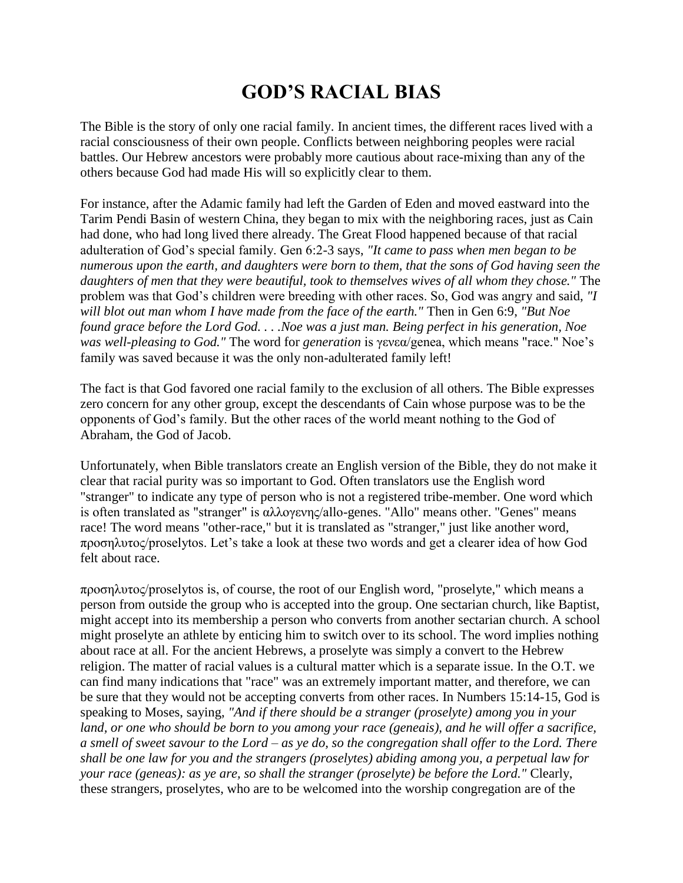## **GOD'S RACIAL BIAS**

The Bible is the story of only one racial family. In ancient times, the different races lived with a racial consciousness of their own people. Conflicts between neighboring peoples were racial battles. Our Hebrew ancestors were probably more cautious about race-mixing than any of the others because God had made His will so explicitly clear to them.

For instance, after the Adamic family had left the Garden of Eden and moved eastward into the Tarim Pendi Basin of western China, they began to mix with the neighboring races, just as Cain had done, who had long lived there already. The Great Flood happened because of that racial adulteration of God's special family. Gen 6:2-3 says, *"It came to pass when men began to be numerous upon the earth, and daughters were born to them, that the sons of God having seen the daughters of men that they were beautiful, took to themselves wives of all whom they chose."* The problem was that God's children were breeding with other races. So, God was angry and said, *"I will blot out man whom I have made from the face of the earth."* Then in Gen 6:9, *"But Noe found grace before the Lord God. . . .Noe was a just man. Being perfect in his generation, Noe was well-pleasing to God."* The word for *generation* is γενεα/genea, which means "race." Noe's family was saved because it was the only non-adulterated family left!

The fact is that God favored one racial family to the exclusion of all others. The Bible expresses zero concern for any other group, except the descendants of Cain whose purpose was to be the opponents of God's family. But the other races of the world meant nothing to the God of Abraham, the God of Jacob.

Unfortunately, when Bible translators create an English version of the Bible, they do not make it clear that racial purity was so important to God. Often translators use the English word "stranger" to indicate any type of person who is not a registered tribe-member. One word which is often translated as "stranger" is αλλογενης/allo-genes. "Allo" means other. "Genes" means race! The word means "other-race," but it is translated as "stranger," just like another word, προσηλστος/proselytos. Let's take a look at these two words and get a clearer idea of how God felt about race.

προσηλστος/proselytos is, of course, the root of our English word, "proselyte," which means a person from outside the group who is accepted into the group. One sectarian church, like Baptist, might accept into its membership a person who converts from another sectarian church. A school might proselyte an athlete by enticing him to switch over to its school. The word implies nothing about race at all. For the ancient Hebrews, a proselyte was simply a convert to the Hebrew religion. The matter of racial values is a cultural matter which is a separate issue. In the O.T. we can find many indications that "race" was an extremely important matter, and therefore, we can be sure that they would not be accepting converts from other races. In Numbers 15:14-15, God is speaking to Moses, saying, *"And if there should be a stranger (proselyte) among you in your land, or one who should be born to you among your race (geneais), and he will offer a sacrifice, a smell of sweet savour to the Lord – as ye do, so the congregation shall offer to the Lord. There shall be one law for you and the strangers (proselytes) abiding among you, a perpetual law for your race (geneas): as ye are, so shall the stranger (proselyte) be before the Lord."* Clearly, these strangers, proselytes, who are to be welcomed into the worship congregation are of the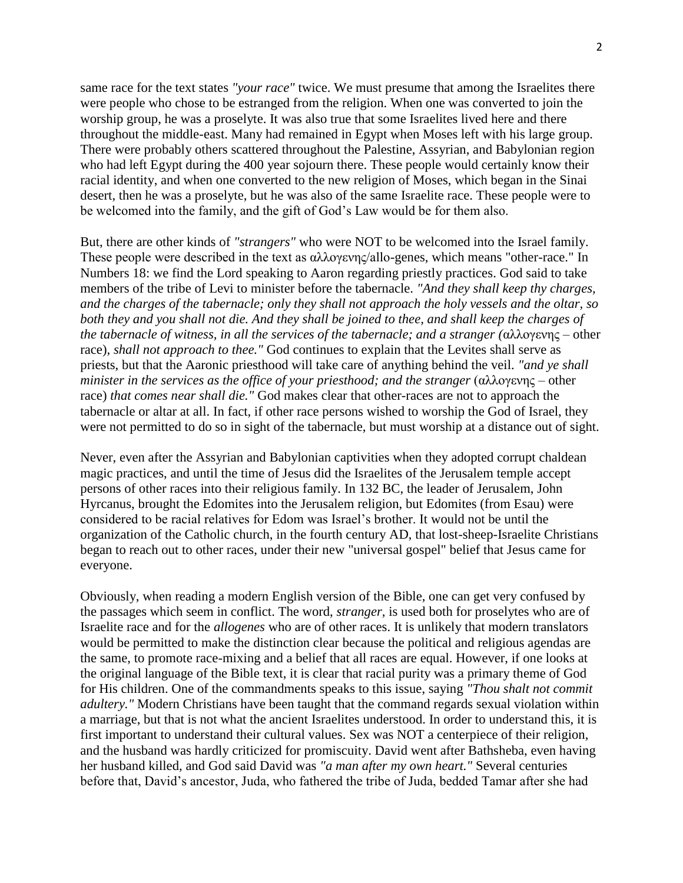same race for the text states *"your race"* twice. We must presume that among the Israelites there were people who chose to be estranged from the religion. When one was converted to join the worship group, he was a proselyte. It was also true that some Israelites lived here and there throughout the middle-east. Many had remained in Egypt when Moses left with his large group. There were probably others scattered throughout the Palestine, Assyrian, and Babylonian region who had left Egypt during the 400 year sojourn there. These people would certainly know their racial identity, and when one converted to the new religion of Moses, which began in the Sinai desert, then he was a proselyte, but he was also of the same Israelite race. These people were to be welcomed into the family, and the gift of God's Law would be for them also.

But, there are other kinds of *"strangers"* who were NOT to be welcomed into the Israel family. These people were described in the text as αλλογενης/allo-genes, which means "other-race." In Numbers 18: we find the Lord speaking to Aaron regarding priestly practices. God said to take members of the tribe of Levi to minister before the tabernacle. *"And they shall keep thy charges, and the charges of the tabernacle; only they shall not approach the holy vessels and the oltar, so both they and you shall not die. And they shall be joined to thee, and shall keep the charges of the tabernacle of witness, in all the services of the tabernacle; and a stranger (*αλλογενης – other race)*, shall not approach to thee."* God continues to explain that the Levites shall serve as priests, but that the Aaronic priesthood will take care of anything behind the veil. *"and ye shall minister in the services as the office of your priesthood; and the stranger* (αλλογενης – other race) *that comes near shall die."* God makes clear that other-races are not to approach the tabernacle or altar at all. In fact, if other race persons wished to worship the God of Israel, they were not permitted to do so in sight of the tabernacle, but must worship at a distance out of sight.

Never, even after the Assyrian and Babylonian captivities when they adopted corrupt chaldean magic practices, and until the time of Jesus did the Israelites of the Jerusalem temple accept persons of other races into their religious family. In 132 BC, the leader of Jerusalem, John Hyrcanus, brought the Edomites into the Jerusalem religion, but Edomites (from Esau) were considered to be racial relatives for Edom was Israel's brother. It would not be until the organization of the Catholic church, in the fourth century AD, that lost-sheep-Israelite Christians began to reach out to other races, under their new "universal gospel" belief that Jesus came for everyone.

Obviously, when reading a modern English version of the Bible, one can get very confused by the passages which seem in conflict. The word, *stranger,* is used both for proselytes who are of Israelite race and for the *allogenes* who are of other races. It is unlikely that modern translators would be permitted to make the distinction clear because the political and religious agendas are the same, to promote race-mixing and a belief that all races are equal. However, if one looks at the original language of the Bible text, it is clear that racial purity was a primary theme of God for His children. One of the commandments speaks to this issue, saying *"Thou shalt not commit adultery."* Modern Christians have been taught that the command regards sexual violation within a marriage, but that is not what the ancient Israelites understood. In order to understand this, it is first important to understand their cultural values. Sex was NOT a centerpiece of their religion, and the husband was hardly criticized for promiscuity. David went after Bathsheba, even having her husband killed, and God said David was *"a man after my own heart."* Several centuries before that, David's ancestor, Juda, who fathered the tribe of Juda, bedded Tamar after she had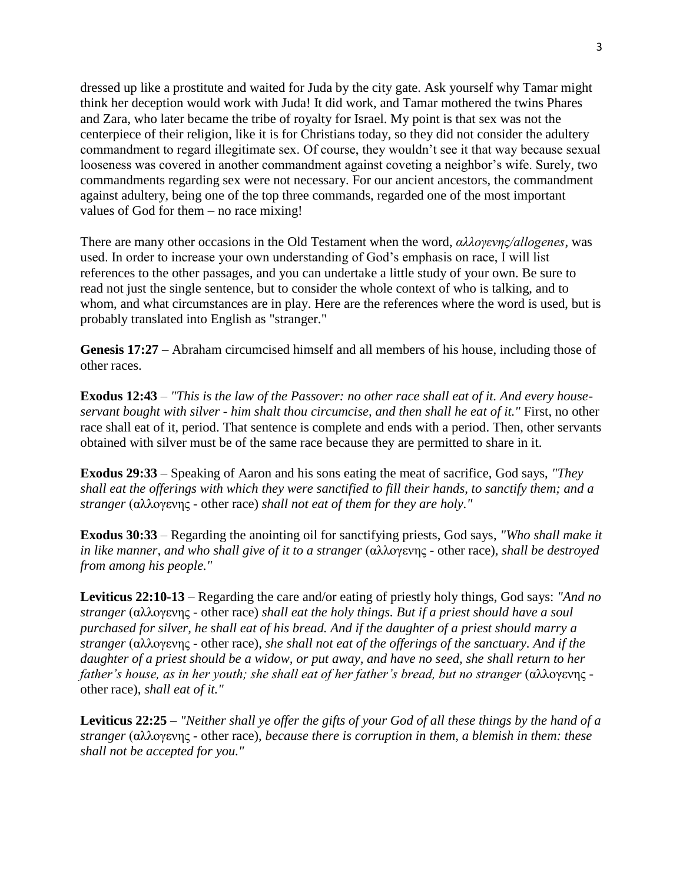dressed up like a prostitute and waited for Juda by the city gate. Ask yourself why Tamar might think her deception would work with Juda! It did work, and Tamar mothered the twins Phares and Zara, who later became the tribe of royalty for Israel. My point is that sex was not the centerpiece of their religion, like it is for Christians today, so they did not consider the adultery commandment to regard illegitimate sex. Of course, they wouldn't see it that way because sexual looseness was covered in another commandment against coveting a neighbor's wife. Surely, two commandments regarding sex were not necessary. For our ancient ancestors, the commandment against adultery, being one of the top three commands, regarded one of the most important values of God for them – no race mixing!

There are many other occasions in the Old Testament when the word, *αλλογενης/allogenes*, was used. In order to increase your own understanding of God's emphasis on race, I will list references to the other passages, and you can undertake a little study of your own. Be sure to read not just the single sentence, but to consider the whole context of who is talking, and to whom, and what circumstances are in play. Here are the references where the word is used, but is probably translated into English as "stranger."

**Genesis 17:27** – Abraham circumcised himself and all members of his house, including those of other races.

**Exodus 12:43** – *"This is the law of the Passover: no other race shall eat of it. And every houseservant bought with silver - him shalt thou circumcise, and then shall he eat of it."* First, no other race shall eat of it, period. That sentence is complete and ends with a period. Then, other servants obtained with silver must be of the same race because they are permitted to share in it.

**Exodus 29:33** – Speaking of Aaron and his sons eating the meat of sacrifice, God says, *"They shall eat the offerings with which they were sanctified to fill their hands, to sanctify them; and a stranger* (αλλογενης - other race) *shall not eat of them for they are holy."*

**Exodus 30:33** – Regarding the anointing oil for sanctifying priests, God says, *"Who shall make it in like manner, and who shall give of it to a stranger* (αλλογενης - other race)*, shall be destroyed from among his people."*

**Leviticus 22:10-13** – Regarding the care and/or eating of priestly holy things, God says: *"And no stranger* (αλλογενης - other race) *shall eat the holy things. But if a priest should have a soul purchased for silver, he shall eat of his bread. And if the daughter of a priest should marry a stranger* (αλλογενης - other race), *she shall not eat of the offerings of the sanctuary. And if the daughter of a priest should be a widow, or put away, and have no seed, she shall return to her father's house, as in her youth; she shall eat of her father's bread, but no stranger* (αλλογενης other race), *shall eat of it."*

**Leviticus 22:25** – *"Neither shall ye offer the gifts of your God of all these things by the hand of a stranger* (αλλογενης - other race), *because there is corruption in them, a blemish in them: these shall not be accepted for you."*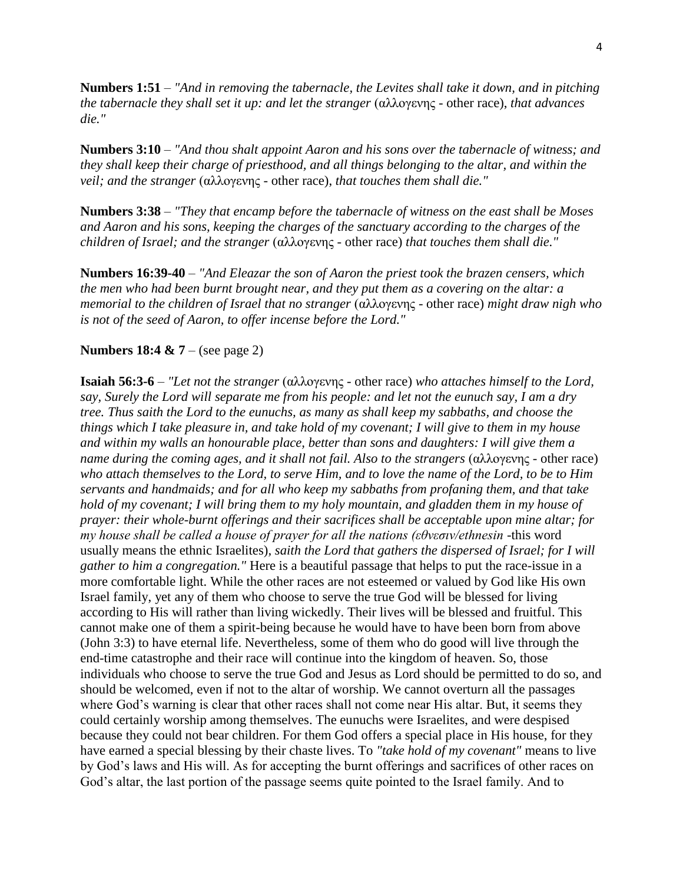**Numbers 1:51** – *"And in removing the tabernacle, the Levites shall take it down, and in pitching the tabernacle they shall set it up: and let the stranger* (αλλογενης - other race), *that advances die."*

**Numbers 3:10** – *"And thou shalt appoint Aaron and his sons over the tabernacle of witness; and they shall keep their charge of priesthood, and all things belonging to the altar, and within the veil; and the stranger* (αλλογενης - other race), *that touches them shall die."*

**Numbers 3:38** – *"They that encamp before the tabernacle of witness on the east shall be Moses and Aaron and his sons, keeping the charges of the sanctuary according to the charges of the children of Israel; and the stranger* (αλλογενης - other race) *that touches them shall die."*

**Numbers 16:39-40** – *"And Eleazar the son of Aaron the priest took the brazen censers, which the men who had been burnt brought near, and they put them as a covering on the altar: a memorial to the children of Israel that no stranger* (αλλογενης - other race) *might draw nigh who is not of the seed of Aaron, to offer incense before the Lord."*

## **Numbers 18:4 & 7** – (see page 2)

**Isaiah 56:3-6** – *"Let not the stranger* (αλλογενης - other race) *who attaches himself to the Lord, say, Surely the Lord will separate me from his people: and let not the eunuch say, I am a dry tree. Thus saith the Lord to the eunuchs, as many as shall keep my sabbaths, and choose the things which I take pleasure in, and take hold of my covenant; I will give to them in my house and within my walls an honourable place, better than sons and daughters: I will give them a name during the coming ages, and it shall not fail. Also to the strangers* (αλλογενης - other race) *who attach themselves to the Lord, to serve Him, and to love the name of the Lord, to be to Him servants and handmaids; and for all who keep my sabbaths from profaning them, and that take hold of my covenant; I will bring them to my holy mountain, and gladden them in my house of prayer: their whole-burnt offerings and their sacrifices shall be acceptable upon mine altar; for my house shall be called a house of prayer for all the nations (εθνεσιν/ethnesin -*this word usually means the ethnic Israelites)*, saith the Lord that gathers the dispersed of Israel; for I will gather to him a congregation."* Here is a beautiful passage that helps to put the race-issue in a more comfortable light. While the other races are not esteemed or valued by God like His own Israel family, yet any of them who choose to serve the true God will be blessed for living according to His will rather than living wickedly. Their lives will be blessed and fruitful. This cannot make one of them a spirit-being because he would have to have been born from above (John 3:3) to have eternal life. Nevertheless, some of them who do good will live through the end-time catastrophe and their race will continue into the kingdom of heaven. So, those individuals who choose to serve the true God and Jesus as Lord should be permitted to do so, and should be welcomed, even if not to the altar of worship. We cannot overturn all the passages where God's warning is clear that other races shall not come near His altar. But, it seems they could certainly worship among themselves. The eunuchs were Israelites, and were despised because they could not bear children. For them God offers a special place in His house, for they have earned a special blessing by their chaste lives. To *"take hold of my covenant"* means to live by God's laws and His will. As for accepting the burnt offerings and sacrifices of other races on God's altar, the last portion of the passage seems quite pointed to the Israel family. And to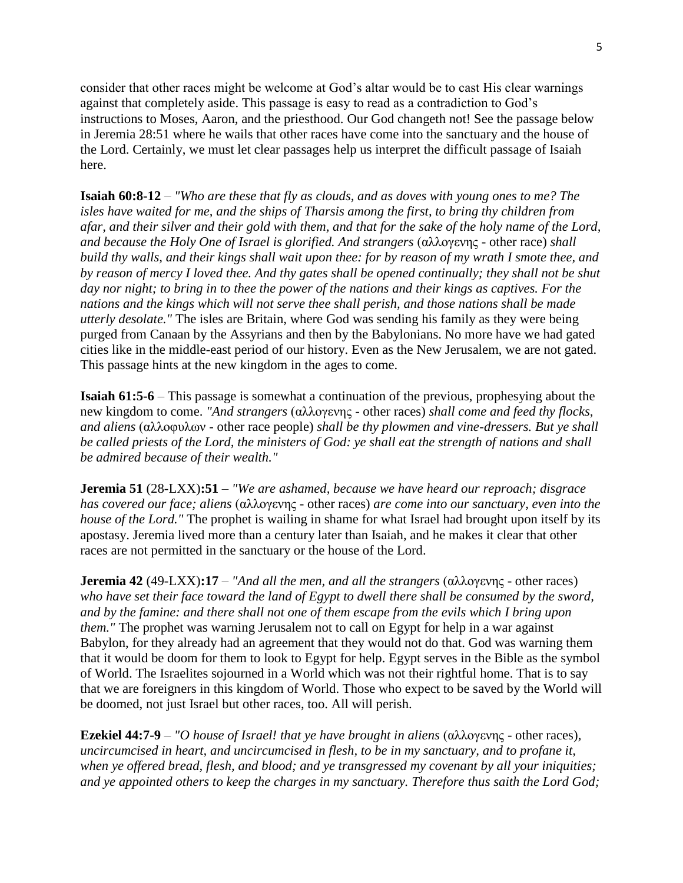consider that other races might be welcome at God's altar would be to cast His clear warnings against that completely aside. This passage is easy to read as a contradiction to God's instructions to Moses, Aaron, and the priesthood. Our God changeth not! See the passage below in Jeremia 28:51 where he wails that other races have come into the sanctuary and the house of the Lord. Certainly, we must let clear passages help us interpret the difficult passage of Isaiah here.

**Isaiah 60:8-12** – *"Who are these that fly as clouds, and as doves with young ones to me? The isles have waited for me, and the ships of Tharsis among the first, to bring thy children from afar, and their silver and their gold with them, and that for the sake of the holy name of the Lord, and because the Holy One of Israel is glorified. And strangers* (αλλογενης - other race) *shall build thy walls, and their kings shall wait upon thee: for by reason of my wrath I smote thee, and by reason of mercy I loved thee. And thy gates shall be opened continually; they shall not be shut day nor night; to bring in to thee the power of the nations and their kings as captives. For the nations and the kings which will not serve thee shall perish, and those nations shall be made utterly desolate."* The isles are Britain, where God was sending his family as they were being purged from Canaan by the Assyrians and then by the Babylonians. No more have we had gated cities like in the middle-east period of our history. Even as the New Jerusalem, we are not gated. This passage hints at the new kingdom in the ages to come.

**Isaiah 61:5-6** – This passage is somewhat a continuation of the previous, prophesying about the new kingdom to come. *"And strangers* (αλλογενης - other races) *shall come and feed thy flocks, and aliens* (αλλοφυλων - other race people) *shall be thy plowmen and vine-dressers. But ye shall be called priests of the Lord, the ministers of God: ye shall eat the strength of nations and shall be admired because of their wealth."*

**Jeremia 51** (28-LXX)**:51** – *"We are ashamed, because we have heard our reproach; disgrace has covered our face; aliens* (αλλογενης - other races) *are come into our sanctuary, even into the house of the Lord."* The prophet is wailing in shame for what Israel had brought upon itself by its apostasy. Jeremia lived more than a century later than Isaiah, and he makes it clear that other races are not permitted in the sanctuary or the house of the Lord.

**Jeremia 42** (49-LXX)**:17** – *"And all the men, and all the strangers* (αλλογενης - other races) who have set their face toward the land of Egypt to dwell there shall be consumed by the sword, *and by the famine: and there shall not one of them escape from the evils which I bring upon them.*" The prophet was warning Jerusalem not to call on Egypt for help in a war against Babylon, for they already had an agreement that they would not do that. God was warning them that it would be doom for them to look to Egypt for help. Egypt serves in the Bible as the symbol of World. The Israelites sojourned in a World which was not their rightful home. That is to say that we are foreigners in this kingdom of World. Those who expect to be saved by the World will be doomed, not just Israel but other races, too. All will perish.

**Ezekiel 44:7-9** – *"O house of Israel! that ye have brought in aliens* (αλλογενης - other races)*, uncircumcised in heart, and uncircumcised in flesh, to be in my sanctuary, and to profane it, when ye offered bread, flesh, and blood; and ye transgressed my covenant by all your iniquities; and ye appointed others to keep the charges in my sanctuary. Therefore thus saith the Lord God;*